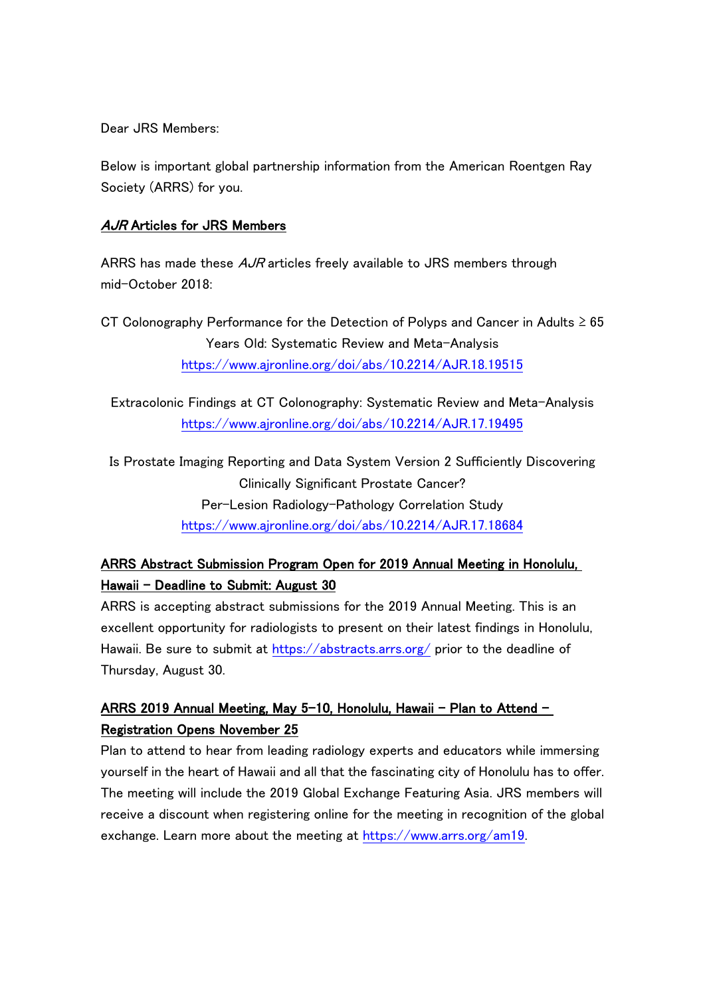Dear JRS Members:

Below is important global partnership information from the American Roentgen Ray Society (ARRS) for you.

## AJR Articles for JRS Members

ARRS has made these  $A\mathcal{A}R$  articles freely available to JRS members through mid-October 2018:

CT Colonography Performance for the Detection of Polyps and Cancer in Adults ≥ 65 Years Old: Systematic Review and Meta-Analysis [https://www.ajronline.org/doi/abs/10.2214/AJR.1](https://www.ajronline.org/doi/abs/10.2214/AJR.18.19515)8.19515

Extracolonic Findings at CT Colonography: Systematic Review and Meta-Analysis <https://www.ajronline.org/doi/abs/10.2214/AJR.17.19495>

Is Prostate Imaging Reporting and Data System Version 2 Sufficiently Discovering Clinically Significant Prostate Cancer? Per-Lesion Radiology-Pathology Correlation Study [https://www.ajronline.org/doi/abs/1](https://www.ajronline.org/doi/abs/10.2214/AJR.17.18684)0.2214/AJR.17.18684

## ARRS Abstract Submission Program Open for 2019 Annual Meeting in Honolulu, Hawaii – Deadline to Submit: August 30

ARRS is accepting abstract submissions for the 2019 Annual Meeting. This is an excellent opportunity for radiologists to present on their latest findings in Honolulu, Hawaii. Be sure to submit at<https://abstracts.arrs.org/> prior to the deadline of Thursday, August 30.

## ARRS 2019 Annual Meeting, May 5-10, Honolulu, Hawaii – Plan to Attend – Registration Opens November 25

Plan to attend to hear from leading radiology experts and educators while immersing yourself in the heart of Hawaii and all that the fascinating city of Honolulu has to offer. The meeting will include the 2019 Global Exchange Featuring Asia. JRS members will receive a discount when registering online for the meeting in recognition of the global exchange. Learn more about the meeting at [https://www.arrs.org/am19.](https://www.arrs.org/am19)